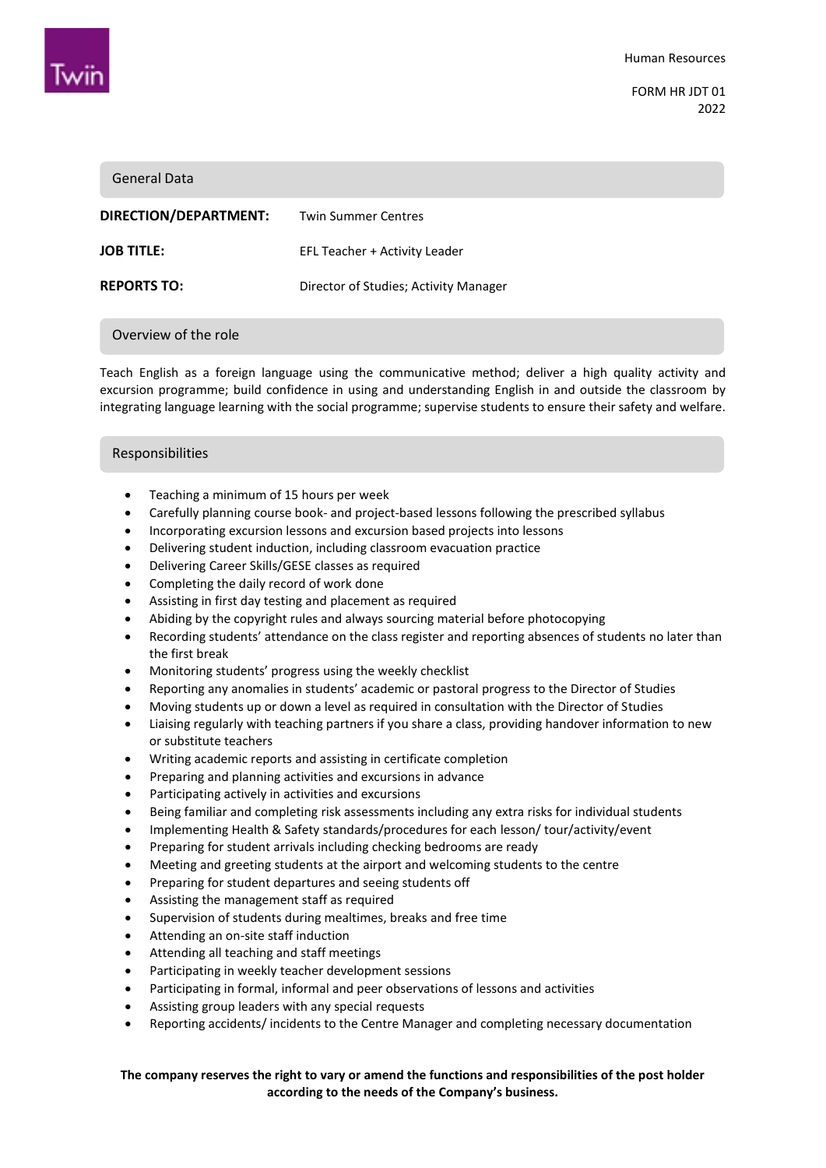

FORM HR JDT 01 2022

#### General Data

| <b>Twin Summer Centres</b>            |
|---------------------------------------|
| EFL Teacher + Activity Leader         |
| Director of Studies: Activity Manager |
|                                       |

#### Overview of the role

Teach English as a foreign language using the communicative method; deliver a high quality activity and excursion programme; build confidence in using and understanding English in and outside the classroom by integrating language learning with the social programme; supervise students to ensure their safety and welfare.

#### Responsibilities

- Teaching a minimum of 15 hours per week
- Carefully planning course book- and project-based lessons following the prescribed syllabus
- Incorporating excursion lessons and excursion based projects into lessons
- Delivering student induction, including classroom evacuation practice
- Delivering Career Skills/GESE classes as required
- Completing the daily record of work done
- Assisting in first day testing and placement as required
- Abiding by the copyright rules and always sourcing material before photocopying
- Recording students' attendance on the class register and reporting absences of students no later than the first break
- Monitoring students' progress using the weekly checklist
- Reporting any anomalies in students' academic or pastoral progress to the Director of Studies
- Moving students up or down a level as required in consultation with the Director of Studies
- Liaising regularly with teaching partners if you share a class, providing handover information to new or substitute teachers
- Writing academic reports and assisting in certificate completion
- Preparing and planning activities and excursions in advance
- Participating actively in activities and excursions
- Being familiar and completing risk assessments including any extra risks for individual students
- Implementing Health & Safety standards/procedures for each lesson/ tour/activity/event
- Preparing for student arrivals including checking bedrooms are ready
- Meeting and greeting students at the airport and welcoming students to the centre
- Preparing for student departures and seeing students off
- Assisting the management staff as required
- Supervision of students during mealtimes, breaks and free time
- Attending an on-site staff induction
- Attending all teaching and staff meetings
- Participating in weekly teacher development sessions
- Participating in formal, informal and peer observations of lessons and activities
- Assisting group leaders with any special requests
- Reporting accidents/ incidents to the Centre Manager and completing necessary documentation

# **The company reserves the right to vary or amend the functions and responsibilities of the post holder according to the needs of the Company's business.**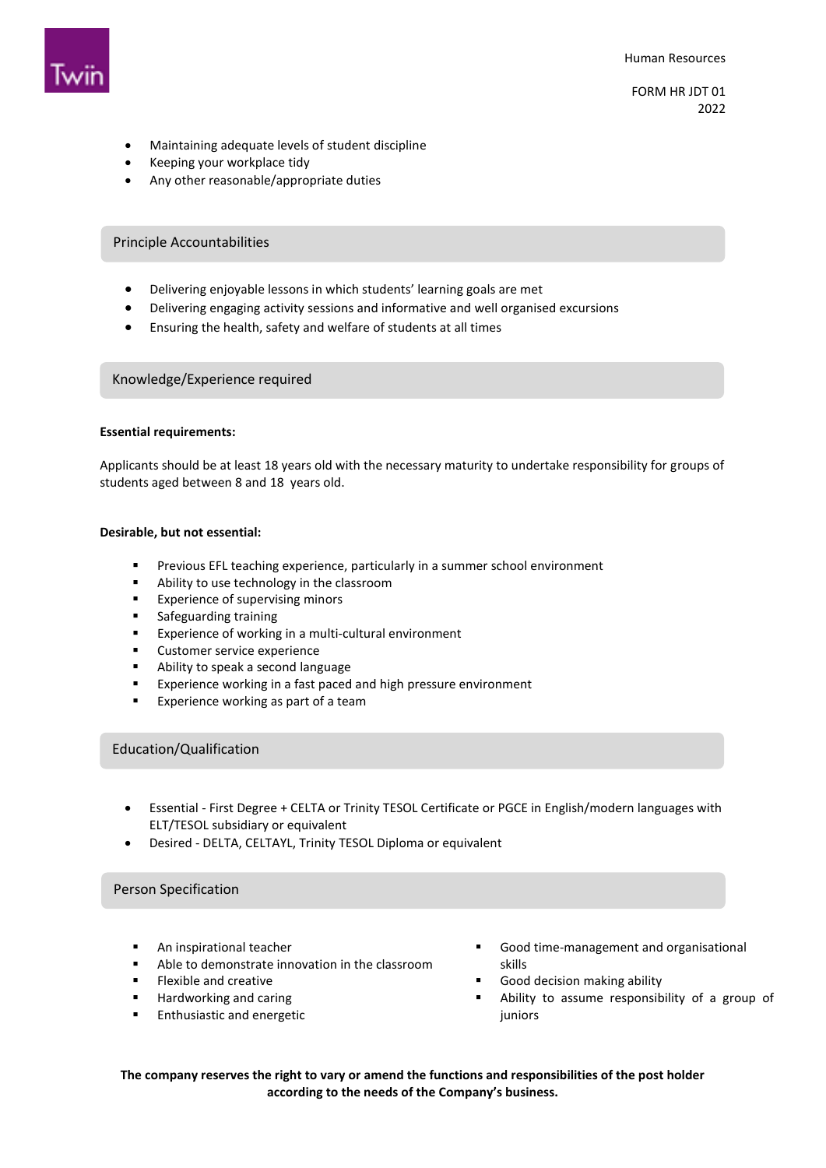

- Maintaining adequate levels of student discipline
- Keeping your workplace tidy
- Any other reasonable/appropriate duties

# Principle Accountabilities

- Delivering enjoyable lessons in which students' learning goals are met
- Delivering engaging activity sessions and informative and well organised excursions
- Ensuring the health, safety and welfare of students at all times

#### Knowledge/Experience required

#### **Essential requirements:**

Applicants should be at least 18 years old with the necessary maturity to undertake responsibility for groups of students aged between 8 and 18 years old.

#### **Desirable, but not essential:**

- Previous EFL teaching experience, particularly in a summer school environment
- Ability to use technology in the classroom
- **Experience of supervising minors**
- **s** Safeguarding training
- **Experience of working in a multi-cultural environment**
- **EXECUSTOMER SERVICE EXPERIENCE**
- Ability to speak a second language
- **EXPERIENCE EXPERIENCE WORKING IN A fast paced and high pressure environment**
- **Experience working as part of a team**

## Education/Qualification

- Essential First Degree + CELTA or Trinity TESOL Certificate or PGCE in English/modern languages with ELT/TESOL subsidiary or equivalent
- Desired DELTA, CELTAYL, Trinity TESOL Diploma or equivalent

# Person Specification

- An inspirational teacher
- Able to demonstrate innovation in the classroom
- Flexible and creative
- Hardworking and caring
- **Enthusiastic and energetic**
- Good time-management and organisational skills
- Good decision making ability
- Ability to assume responsibility of a group of juniors

**The company reserves the right to vary or amend the functions and responsibilities of the post holder according to the needs of the Company's business.**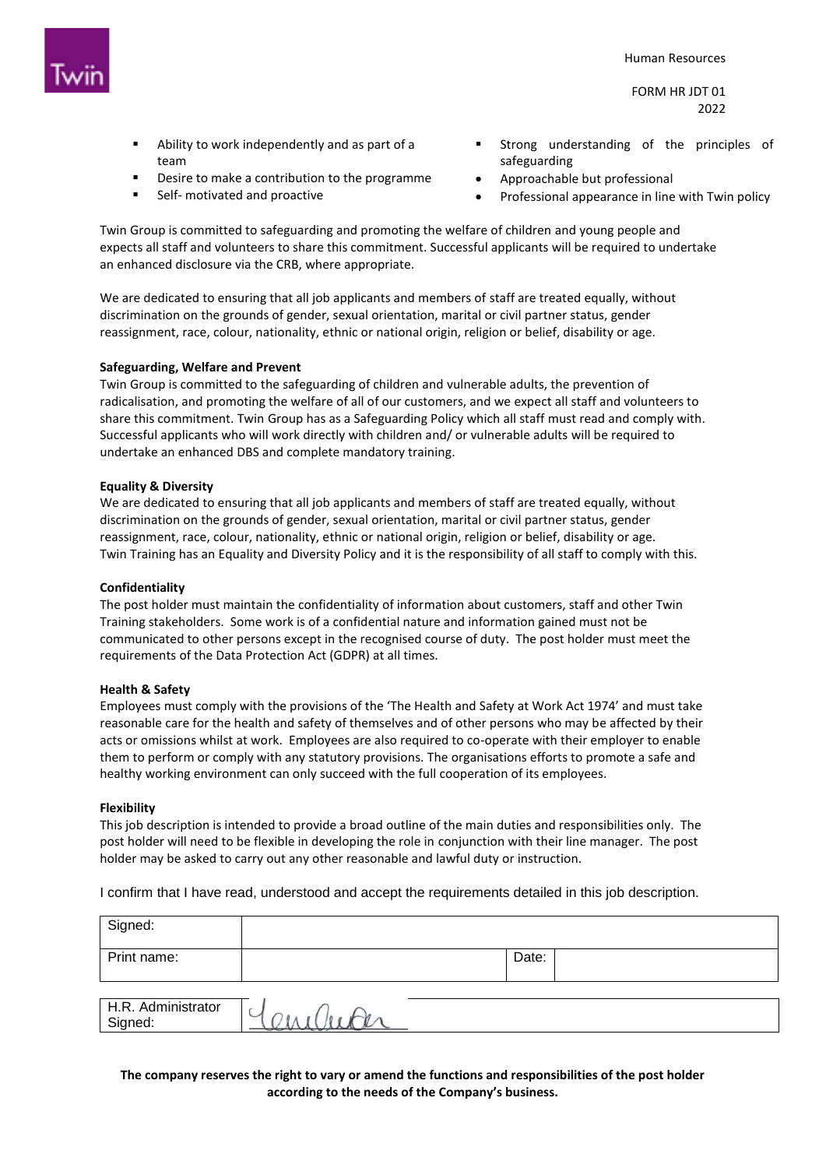

FORM HR JDT 01 2022

- Ability to work independently and as part of a team
- Desire to make a contribution to the programme
- Self- motivated and proactive
- Strong understanding of the principles of safeguarding
- Approachable but professional
- Professional appearance in line with Twin policy

Twin Group is committed to safeguarding and promoting the welfare of children and young people and expects all staff and volunteers to share this commitment. Successful applicants will be required to undertake an enhanced disclosure via the CRB, where appropriate.

We are dedicated to ensuring that all job applicants and members of staff are treated equally, without discrimination on the grounds of gender, sexual orientation, marital or civil partner status, gender reassignment, race, colour, nationality, ethnic or national origin, religion or belief, disability or age.

## **Safeguarding, Welfare and Prevent**

Twin Group is committed to the safeguarding of children and vulnerable adults, the prevention of radicalisation, and promoting the welfare of all of our customers, and we expect all staff and volunteers to share this commitment. Twin Group has as a Safeguarding Policy which all staff must read and comply with. Successful applicants who will work directly with children and/ or vulnerable adults will be required to undertake an enhanced DBS and complete mandatory training.

## **Equality & Diversity**

We are dedicated to ensuring that all job applicants and members of staff are treated equally, without discrimination on the grounds of gender, sexual orientation, marital or civil partner status, gender reassignment, race, colour, nationality, ethnic or national origin, religion or belief, disability or age. Twin Training has an Equality and Diversity Policy and it is the responsibility of all staff to comply with this.

## **Confidentiality**

The post holder must maintain the confidentiality of information about customers, staff and other Twin Training stakeholders. Some work is of a confidential nature and information gained must not be communicated to other persons except in the recognised course of duty. The post holder must meet the requirements of the Data Protection Act (GDPR) at all times.

## **Health & Safety**

Employees must comply with the provisions of the 'The Health and Safety at Work Act 1974' and must take reasonable care for the health and safety of themselves and of other persons who may be affected by their acts or omissions whilst at work. Employees are also required to co-operate with their employer to enable them to perform or comply with any statutory provisions. The organisations efforts to promote a safe and healthy working environment can only succeed with the full cooperation of its employees.

## **Flexibility**

This job description is intended to provide a broad outline of the main duties and responsibilities only. The post holder will need to be flexible in developing the role in conjunction with their line manager. The post holder may be asked to carry out any other reasonable and lawful duty or instruction.

I confirm that I have read, understood and accept the requirements detailed in this job description.

| Signed:                       |          |       |  |
|-------------------------------|----------|-------|--|
| Print name:                   |          | Date: |  |
|                               |          |       |  |
| H.R. Administrator<br>Signed: | --<br>-- |       |  |

**The company reserves the right to vary or amend the functions and responsibilities of the post holder according to the needs of the Company's business.**